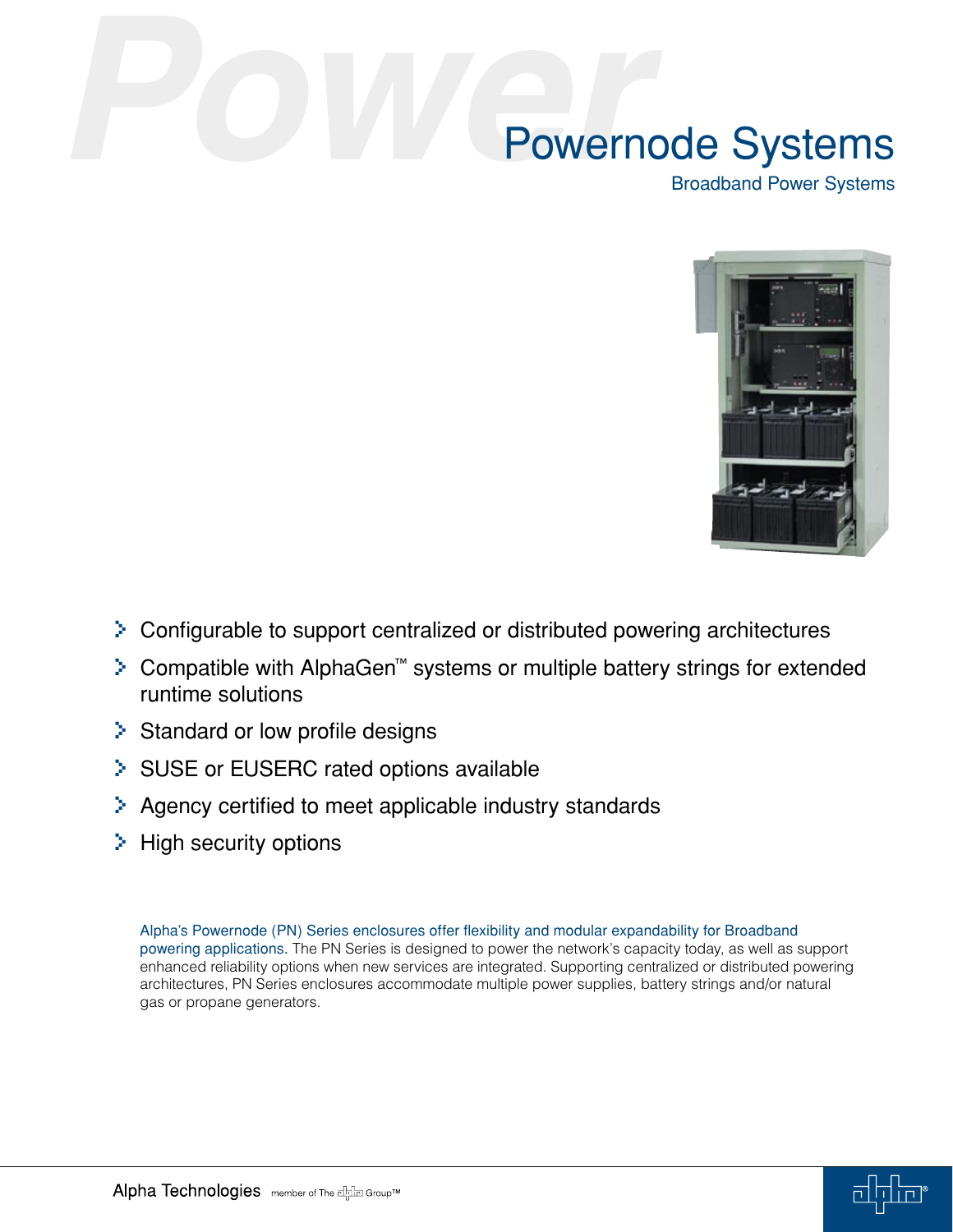Broadband Power Systems



- > Configurable to support centralized or distributed powering architectures
- > Compatible with AlphaGen™ systems or multiple battery strings for extended runtime solutions
- > Standard or low profile designs
- > SUSE or EUSERC rated options available
- > Agency certified to meet applicable industry standards
- > High security options

Alpha's Powernode (PN) Series enclosures offer flexibility and modular expandability for Broadband powering applications. The PN Series is designed to power the network's capacity today, as well as support enhanced reliability options when new services are integrated. Supporting centralized or distributed powering architectures, PN Series enclosures accommodate multiple power supplies, battery strings and/or natural gas or propane generators.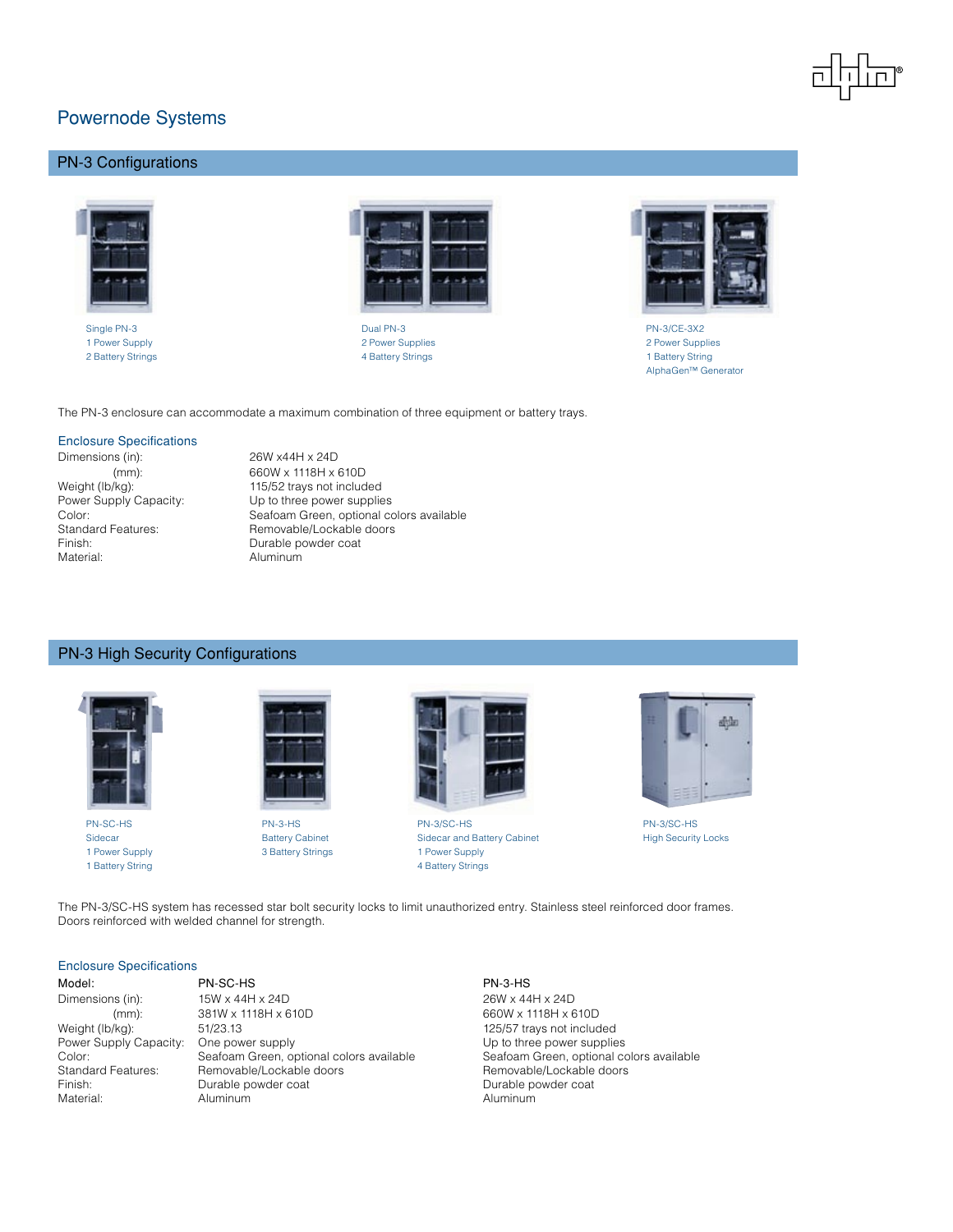# PN-3 Configurations





Single PN-3 Dual PN-3 PN-3/CE-3X2 1 Power Supply 2 Power Supplies 2 Power Supplies 2 Battery Strings 1 Battery Strings 1 Battery Strings 1 Battery Strings 1 Battery Strings 1 Battery Strings 1 Battery Strings 1 Battery Strings 1 Battery Strings 1 Battery Strings 1 Battery Strings 1 Battery Strings 1 Batt



AlphaGen™ Generator

The PN-3 enclosure can accommodate a maximum combination of three equipment or battery trays.

#### Enclosure Specifications

Dimensions (in): 26W x44H x 24D (mm): 660W x 1118H x 610D<br>Weight (lb/kg): 115/52 trays not includ Finish: Durable powder coat Material: Aluminum

115/52 trays not included Power Supply Capacity: Up to three power supplies Color: Seafoam Green, optional colors available Standard Features: Removable/Lockable doors

### PN-3 High Security Configurations





1 Power Supply **3 Battery Strings** 1 Power Supply



PN-SC-HS PN-3-HS PN-3/SC-HS PN-3/SC-HS Sidecar **Battery Cabinet** Sidecar and Battery Cabinet Sidecar and Battery Cabinet High Security Locks 1 Battery String **4 Battery Strings 4 Battery Strings** 



The PN-3/SC-HS system has recessed star bolt security locks to limit unauthorized entry. Stainless steel reinforced door frames. Doors reinforced with welded channel for strength.

#### Enclosure Specifications

| iviouei.        |
|-----------------|
| Dimensions (ir  |
| (mm             |
| Weight (lb/kg): |
| Dower Cupply    |

Model: PN-SC-HS PN-3-HS n): 15W x 44H x 24D 26W x 44H x 24D m): 381W x 1118H x 610D 660W x 1118H x 610D Weight (lb/kg): 51/23.13 51/23.13 125/57 trays not included<br>
Power Supply Capacity: One power supply state of the Up to three power supplie One power supply example Capacity: One power supplies Color: Seafoam Green, optional colors available Seafoam Green, optional colors available Standard Features: Removable/Lockable doors Removable/Lockable doors Removable/Lockable doors Finish: Communist Communist Durable powder coat Communist Communist Communist Durable powder coat Material: Aluminum Aluminum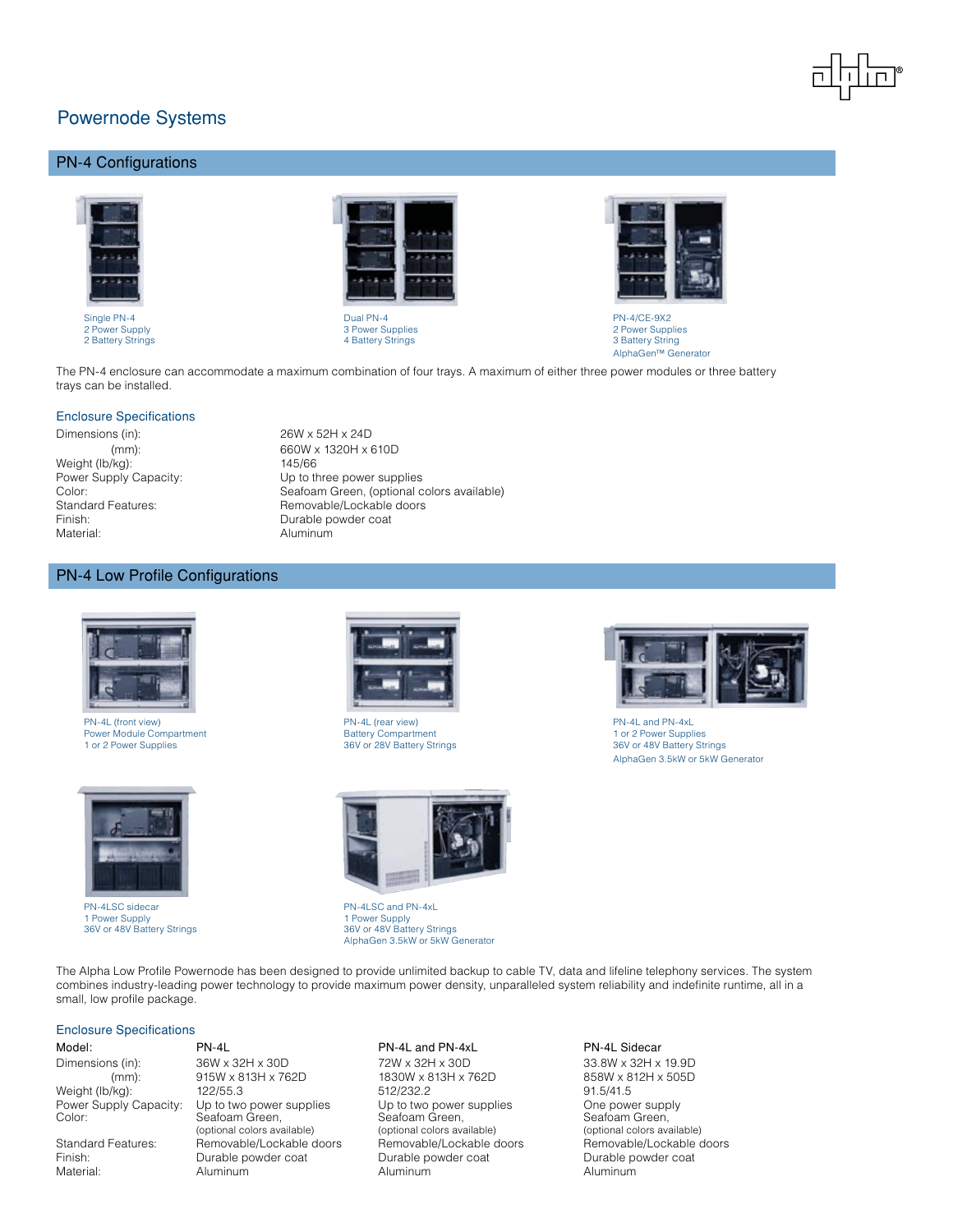

# PN-4 Configurations



Single PN-4 Dual PN-4 PN-4/CE-9X2



2 Power Supply 2 Power Supplies<br>
2 Power Supply 2 Power Supplies<br>
2 Power Supplies<br>
2 Power Supplies<br>
3 Power Supplies<br>
3 Power Supplies 4 Battery Strings

Up to three power supplies

Removable/Lockable doors



AlphaGen™ Generator

The PN-4 enclosure can accommodate a maximum combination of four trays. A maximum of either three power modules or three battery trays can be installed.

#### Enclosure Specifications

Dimensions (in): 26W x 52H x 24D (mm): 660W x 1320H x 610D Weight (lb/kg): 145/66<br>Power Supply Capacity: Up to the Color: Seafoam Green, (optional colors available)<br>
Standard Features: Standard Features: Standard Features: Standard Features: Standard Benovable/Lockable doors Finish: Durable powder coat Material: Material: Aluminum

### PN-4 Low Profile Configurations



PN-4L (front view)<br>
PN-4L (rear view)<br>
Power Module Compartment<br>
1 or 2 Power Supplies<br>
1 or 2 Power Supplies<br>
26V or 48V Battery Strings<br>
26V or 48V Battery Strings<br>
26V or 48V Battery Strings<br>
26V or 48V Battery Power Module Compartment<br>1 or 2 Power Supplies



PN-4LSC sidecar and particle processes of the PN-4LSC and PN-4xL<br>
1 Power Supply 1 Power Supply 1 Power Supply 1 Power Supply 1 Power Supply 36V or 48V Battery Strings





36V or 48V Battery Strings 36V or 48V Battery Strings AlphaGen 3.5kW or 5kW Generator



1 or 2 Power Supplies 36V or 28V Battery Strings 36V or 48V Battery Strings AlphaGen 3.5kW or 5kW Generator

The Alpha Low Profile Powernode has been designed to provide unlimited backup to cable TV, data and lifeline telephony services. The system combines industry-leading power technology to provide maximum power density, unparalleled system reliability and indefinite runtime, all in a small, low profile package.

### Enclosure Specifications

Dimensions (in): 36W x 32H x 30D 72W x 32H x 30D 33.8W x 32H x 19.9D<br>(mm): 915W x 813H x 762D 1830W x 813H x 762D 858W x 812H x 505D (mm): 915W x 813H x 762D 1830W x 813H x 762D Weight (lb/kg): 122/55.3 122/55.3 512/232.2 91.5/41.5 91.5/41.5 Specify: 122/55.3 512/232.2 90 by Degment Supply Power Supply Capacity: Up to two power supplies Up to two power supplies One power supp<br>Color: Seafoam Green, Seafoam Green, Seafoam Green, Seafoam Green, Seafoam Green, Seafoam Green, Seafoam Green, Seafoam Green, Seafoam Green, Seafoam Green, Seafoam Green, Seafoam Green, Seafoam Green, Seafoam Green, Seafoam Green, Seafoam Green, Seafoam Green, Seafoam Green, Seafoam Gree Standard Features: Removable/Lockable doors Removable/Lockable doors Removable/Lockable doors Finish: Durable powder coat Durable powder coat Durable powder coat Material: Aluminum Aluminum Aluminum

#### Model: PN-4L PN-4L PN-4L PN-4L and PN-4xL PN-4L Sidecar

(optional colors available)